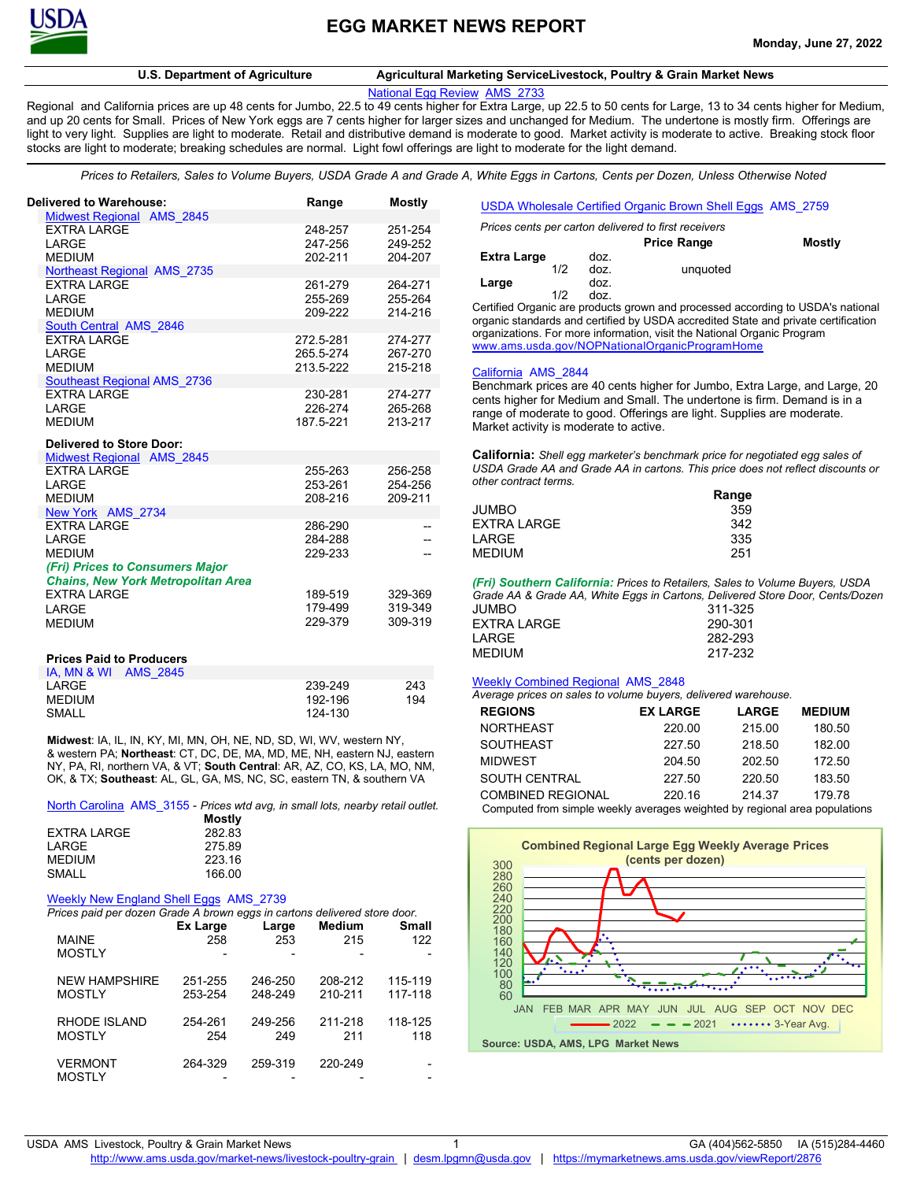

# **U.S. Department of Agriculture Agricultural Marketing ServiceLivestock, Poultry & Grain Market News**

[National Egg Review AMS\\_2733](https://mymarketnews.ams.usda.gov/viewReport/2733)

Regional and California prices are up 48 cents for Jumbo, 22.5 to 49 cents higher for Extra Large, up 22.5 to 50 cents for Large, 13 to 34 cents higher for Medium, and up 20 cents for Small. Prices of New York eggs are 7 cents higher for larger sizes and unchanged for Medium. The undertone is mostly firm. Offerings are light to very light. Supplies are light to moderate. Retail and distributive demand is moderate to good. Market activity is moderate to active. Breaking stock floor stocks are light to moderate; breaking schedules are normal. Light fowl offerings are light to moderate for the light demand.

*Prices to Retailers, Sales to Volume Buyers, USDA Grade A and Grade A, White Eggs in Cartons, Cents per Dozen, Unless Otherwise Noted*

| <b>Delivered to Warehouse:</b>                      | Range              | <b>Mostly</b>      |
|-----------------------------------------------------|--------------------|--------------------|
| Midwest Regional AMS 2845<br><b>EXTRA LARGE</b>     | 248-257            | 251-254            |
| LARGE                                               | 247-256            | 249-252            |
| <b>MEDIUM</b>                                       | 202-211            | 204-207            |
| Northeast Regional AMS 2735                         |                    |                    |
| <b>EXTRA LARGE</b><br>LARGE                         | 261-279<br>255-269 | 264-271<br>255-264 |
| <b>MEDIUM</b>                                       | 209-222            | 214-216            |
| South Central AMS 2846                              |                    |                    |
| <b>EXTRA LARGE</b>                                  | 272.5-281          | 274-277            |
| LARGE                                               | 265.5-274          | 267-270            |
| <b>MEDIUM</b><br><b>Southeast Regional AMS 2736</b> | 213.5-222          | 215-218            |
| <b>EXTRA LARGE</b>                                  | 230-281            | 274-277            |
| LARGE                                               | 226-274            | 265-268            |
| <b>MEDIUM</b>                                       | 187.5-221          | 213-217            |
| <b>Delivered to Store Door:</b>                     |                    |                    |
| <b>Midwest Regional AMS 2845</b>                    |                    |                    |
| <b>EXTRA LARGE</b><br>LARGE                         | 255-263<br>253-261 | 256-258<br>254-256 |
| <b>MEDIUM</b>                                       | 208-216            | 209-211            |
| New York AMS 2734                                   |                    |                    |
| <b>EXTRA LARGE</b>                                  | 286-290            |                    |
| LARGE<br><b>MEDIUM</b>                              | 284-288<br>229-233 |                    |
| (Fri) Prices to Consumers Major                     |                    |                    |
| <b>Chains, New York Metropolitan Area</b>           |                    |                    |
| <b>EXTRA LARGE</b>                                  | 189-519            | 329-369            |
| LARGE                                               | 179-499            | 319-349            |
| <b>MEDIUM</b>                                       | 229-379            | 309-319            |
|                                                     |                    |                    |
| <b>Prices Paid to Producers</b>                     |                    |                    |
| IA, MN & WI AMS 2845<br>LARGE                       | 239-249            | 243                |
| <b>MEDIUM</b>                                       | 192-196            | 194                |
| <b>SMALL</b>                                        | 124-130            |                    |

**Midwest**: IA, IL, IN, KY, MI, MN, OH, NE, ND, SD, WI, WV, western NY, & western PA; **Northeast**: CT, DC, DE, MA, MD, ME, NH, eastern NJ, eastern NY, PA, RI, northern VA, & VT; **South Central**: AR, AZ, CO, KS, LA, MO, NM, OK, & TX; **Southeast**: AL, GL, GA, MS, NC, SC, eastern TN, & southern VA

[North Carolina AMS\\_3155](https://mymarketnews.ams.usda.gov/viewReport/3155) - *Prices wtd avg, in small lots, nearby retail outlet.*

|                    | Mostly |
|--------------------|--------|
| <b>EXTRA LARGE</b> | 282.83 |
| LARGE              | 275.89 |
| <b>MEDIUM</b>      | 223.16 |
| SMALL              | 166.00 |

### [Weekly New England Shell Eggs AMS\\_2739](https://mymarketnews.ams.usda.gov/viewReport/2739)

| Prices paid per dozen Grade A brown eggs in cartons delivered store door. |                 |         |               |              |  |  |
|---------------------------------------------------------------------------|-----------------|---------|---------------|--------------|--|--|
|                                                                           | <b>Ex Large</b> | Large   | <b>Medium</b> | <b>Small</b> |  |  |
| <b>MAINE</b>                                                              | 258             | 253     | 215           | 122          |  |  |
| <b>MOSTLY</b>                                                             |                 |         |               |              |  |  |
| <b>NEW HAMPSHIRE</b>                                                      | 251-255         | 246-250 | 208-212       | 115-119      |  |  |
| <b>MOSTLY</b>                                                             | 253-254         | 248-249 | 210-211       | 117-118      |  |  |
| RHODE ISLAND                                                              | 254-261         | 249-256 | 211-218       | 118-125      |  |  |
| <b>MOSTLY</b>                                                             | 254             | 249     | 211           | 118          |  |  |
| <b>VERMONT</b>                                                            | 264-329         | 259-319 | 220-249       |              |  |  |
| <b>MOSTLY</b>                                                             |                 |         |               |              |  |  |

| USDA Wholesale Certified Organic Brown Shell Eggs AMS 2759 |  |
|------------------------------------------------------------|--|
| Prices cents ner carton delivered to first receivers       |  |

|             |     |      | <b>Prices cents per carton delivered to hist receivers</b>                                                                                                                                                                        |        |
|-------------|-----|------|-----------------------------------------------------------------------------------------------------------------------------------------------------------------------------------------------------------------------------------|--------|
|             |     |      | <b>Price Range</b>                                                                                                                                                                                                                | Mostly |
| Extra Large |     | doz. |                                                                                                                                                                                                                                   |        |
|             | 1/2 | doz. | unguoted                                                                                                                                                                                                                          |        |
| Large       |     | doz. |                                                                                                                                                                                                                                   |        |
|             | 1/2 | doz  |                                                                                                                                                                                                                                   |        |
|             |     |      | $\lambda$ and the set of the continuum continuous continuous continuous continuous continuous continuous continuous continuous continuous continuous continuous continuous continuous continuous continuous continuous continuous |        |

Certified Organic are products grown and processed according to USDA's national organic standards and certified by USDA accredited State and private certification organizations. For more information, visit the National Organic Program [www.ams.usda.gov/NOPNationalOrganicProgramHome](http://www.ams.usda.gov/NOPNationalOrganicProgramHome)

## [California AMS\\_2844](https://mymarketnews.ams.usda.gov/viewReport/2844)

Benchmark prices are 40 cents higher for Jumbo, Extra Large, and Large, 20 cents higher for Medium and Small. The undertone is firm. Demand is in a range of moderate to good. Offerings are light. Supplies are moderate. Market activity is moderate to active.

**California:** *Shell egg marketer's benchmark price for negotiated egg sales of USDA Grade AA and Grade AA in cartons. This price does not reflect discounts or other contract terms.*

|               | Range |
|---------------|-------|
| <b>JUMBO</b>  | 359   |
| EXTRA LARGE   | 342   |
| LARGE         | 335   |
| <b>MEDIUM</b> | 251   |

*(Fri) Southern California: Prices to Retailers, Sales to Volume Buyers, USDA Grade AA & Grade AA, White Eggs in Cartons, Delivered Store Door, Cents/Dozen*

| 311-325 |
|---------|
| 290-301 |
| 282-293 |
| 217-232 |
|         |

## [Weekly Combined Regional AMS\\_2848](https://mymarketnews.ams.usda.gov/viewReport/2848)

*Average prices on sales to volume buyers, delivered warehouse.* 

| <b>EX LARGE</b> | <b>LARGE</b> | <b>MEDIUM</b> |                                                                            |
|-----------------|--------------|---------------|----------------------------------------------------------------------------|
| 220.00          | 215.00       | 180.50        |                                                                            |
| 227.50          | 218.50       | 182.00        |                                                                            |
| 204.50          | 202.50       | 172.50        |                                                                            |
| 227.50          | 220.50       | 183.50        |                                                                            |
| 220.16          | 214.37       | 179.78        |                                                                            |
|                 |              |               | Computed from simple weekly averages weighted by regional area populations |

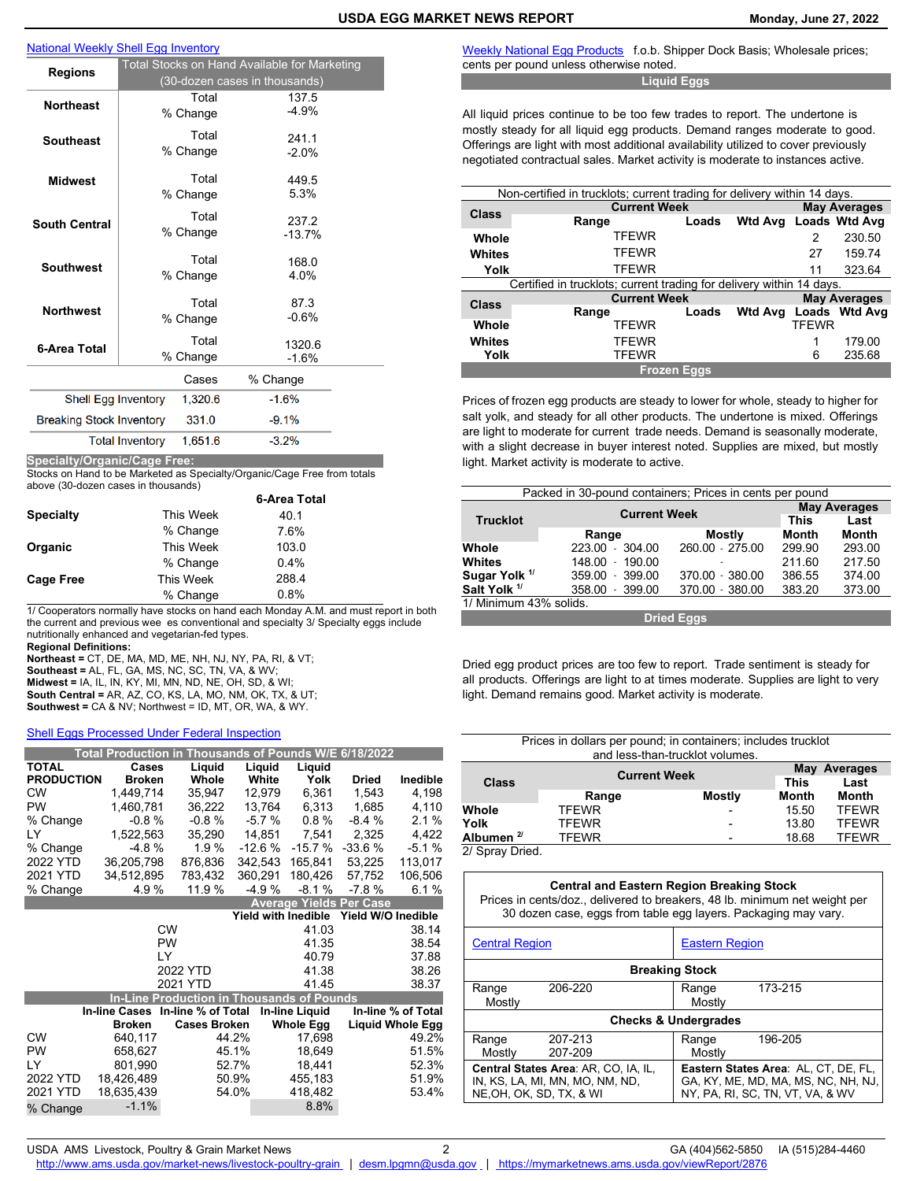# [National Weekly Shell Egg Inventory](https://mymarketnews.ams.usda.gov/viewReport/1427)

| National Weekly Shell Egg Inventory          |                                                                               |                   |                   |  |  |
|----------------------------------------------|-------------------------------------------------------------------------------|-------------------|-------------------|--|--|
| <b>Regions</b>                               | Total Stocks on Hand Available for Marketing<br>(30-dozen cases in thousands) |                   |                   |  |  |
| <b>Northeast</b>                             |                                                                               | Total<br>% Change | 137.5<br>$-4.9%$  |  |  |
| <b>Southeast</b>                             |                                                                               | Total<br>% Change | 241.1<br>$-2.0%$  |  |  |
| <b>Midwest</b>                               |                                                                               | Total<br>% Change | 449.5<br>5.3%     |  |  |
| <b>South Central</b>                         |                                                                               | Total<br>% Change | 237.2<br>$-13.7%$ |  |  |
| <b>Southwest</b>                             |                                                                               | Total<br>% Change | 168.0<br>4.0%     |  |  |
| <b>Northwest</b>                             |                                                                               | Total<br>% Change | 87.3<br>$-0.6%$   |  |  |
| 6-Area Total                                 |                                                                               | Total<br>% Change | 1320.6<br>$-1.6%$ |  |  |
| % Change<br>Cases                            |                                                                               |                   |                   |  |  |
| <b>Shell Egg Inventory</b>                   |                                                                               | 1,320.6           | $-1.6%$           |  |  |
| <b>Breaking Stock Inventory</b>              |                                                                               | 331.0             | $-9.1%$           |  |  |
| <b>Total Inventory</b><br>$-3.2%$<br>1,651.6 |                                                                               |                   |                   |  |  |

**Specialty/Organic/Cage Free:**  Stocks on Hand to be Marketed as Specialty/Organic/Cage Free from totals

above (30-dozen cases in thousands)

|                  |           | 6-Area Total |
|------------------|-----------|--------------|
| <b>Specialty</b> | This Week | 40.1         |
|                  | % Change  | 7.6%         |
| Organic          | This Week | 103.0        |
|                  | % Change  | $0.4\%$      |
| <b>Cage Free</b> | This Week | 288.4        |
|                  | % Change  | 0.8%         |

1/ Cooperators normally have stocks on hand each Monday A.M. and must report in both the current and previous wee es conventional and specialty 3/ Specialty eggs include nutritionally enhanced and vegetarian-fed types.

**Regional Definitions:** 

**Northeast =** CT, DE, MA, MD, ME, NH, NJ, NY, PA, RI, & VT; **Southeast =** AL, FL, GA, MS, NC, SC, TN, VA, & WV; **Midwest =** IA, IL, IN, KY, MI, MN, ND, NE, OH, SD, & WI; **South Central =** AR, AZ, CO, KS, LA, MO, NM, OK, TX, & UT; **Southwest =** CA & NV; Northwest = ID, MT, OR, WA, & WY.

# [Shell Eggs Processed Under Federal Inspection](https://mymarketnews.ams.usda.gov/viewReport/1665)

|                   |                      | Total Production in Thousands of Pounds W/E 6/18/2022 |                     |                       |                                |                         |
|-------------------|----------------------|-------------------------------------------------------|---------------------|-----------------------|--------------------------------|-------------------------|
| <b>TOTAL</b>      | Cases                | Liquid                                                | Liquid              | Liquid                |                                |                         |
| <b>PRODUCTION</b> | <b>Broken</b>        | Whole                                                 | White               | Yolk                  | <b>Dried</b>                   | Inedible                |
| <b>CW</b>         | 1,449,714            | 35,947                                                | 12,979              | 6,361                 | 1.543                          | 4.198                   |
| PW                | 1.460.781            | 36,222                                                | 13,764              | 6,313                 | 1.685                          | 4,110                   |
| % Change          | $-0.8%$              | $-0.8%$                                               | $-5.7%$             | 0.8%                  | $-8.4%$                        | 2.1%                    |
| LY                | 1,522,563            | 35.290                                                | 14.851              | 7,541                 | 2,325                          | 4,422                   |
| % Change          | $-4.8%$              | 1.9%                                                  | $-12.6%$            | $-15.7%$              | $-33.6%$                       | $-5.1%$                 |
| 2022 YTD          | 36,205,798           | 876.836                                               | 342.543             | 165.841               | 53,225                         | 113,017                 |
| 2021 YTD          | 34,512,895           | 783,432                                               | 360,291             | 180,426               | 57,752                         | 106,506                 |
| % Change          | 4.9%                 | 11.9 %                                                | $-4.9%$             | $-8.1%$               | $-7.8%$                        | 6.1%                    |
|                   |                      |                                                       |                     |                       | <b>Average Yields Per Case</b> |                         |
|                   |                      |                                                       | Yield with Inedible |                       | Yield W/O Inedible             |                         |
|                   |                      | <b>CW</b>                                             |                     | 41.03                 |                                | 38.14                   |
|                   |                      | <b>PW</b>                                             |                     | 41.35                 |                                | 38.54                   |
|                   |                      | LY                                                    |                     | 40.79                 |                                | 37.88                   |
|                   |                      | 2022 YTD                                              |                     | 41.38                 |                                | 38.26                   |
|                   |                      | 2021 YTD                                              |                     | 41.45                 |                                | 38.37                   |
|                   |                      | <b>In-Line Production in Thousands of Pounds</b>      |                     |                       |                                |                         |
|                   | <b>In-line Cases</b> | In-line % of Total                                    |                     | <b>In-line Liquid</b> |                                | In-line % of Total      |
|                   | <b>Broken</b>        | <b>Cases Broken</b>                                   |                     | <b>Whole Egg</b>      |                                | <b>Liquid Whole Egg</b> |
| <b>CW</b>         | 640,117              |                                                       | 44.2%               | 17,698                |                                | 49.2%                   |
| <b>PW</b>         | 658,627              |                                                       | 45.1%               | 18,649                |                                | 51.5%                   |
| LY                | 801,990              |                                                       | 52.7%               | 18,441                |                                | 52.3%                   |
| 2022 YTD          | 18,426,489           |                                                       | 50.9%               | 455,183               |                                | 51.9%                   |
| 2021 YTD          | 18,635,439           |                                                       | 54.0%               | 418,482               |                                | 53.4%                   |
| % Change          | $-1.1%$              |                                                       |                     | 8.8%                  |                                |                         |

[Weekly National Egg Products](https://mymarketnews.ams.usda.gov/viewReport/2842)f.o.b. Shipper Dock Basis; Wholesale prices; cents per pound unless otherwise noted.

**Liquid Eggs**

All liquid prices continue to be too few trades to report. The undertone is mostly steady for all liquid egg products. Demand ranges moderate to good. Offerings are light with most additional availability utilized to cover previously negotiated contractual sales. Market activity is moderate to instances active.

| Non-certified in trucklots; current trading for delivery within 14 days. |                                                                      |       |                     |              |                     |  |
|--------------------------------------------------------------------------|----------------------------------------------------------------------|-------|---------------------|--------------|---------------------|--|
| <b>Current Week</b>                                                      |                                                                      |       |                     |              | <b>May Averages</b> |  |
| <b>Class</b>                                                             | Range                                                                | Loads | <b>Wtd Avg</b>      |              | Loads Wtd Avg       |  |
| Whole                                                                    | TFEWR                                                                |       |                     | 2            | 230.50              |  |
| <b>Whites</b>                                                            | TFEWR                                                                |       |                     | 27           | 159.74              |  |
| Yolk                                                                     | TFEWR                                                                |       |                     | 11           | 323.64              |  |
|                                                                          | Certified in trucklots; current trading for delivery within 14 days. |       |                     |              |                     |  |
| <b>Current Week</b>                                                      |                                                                      |       | <b>May Averages</b> |              |                     |  |
| Class                                                                    | Range                                                                | Loads | <b>Wtd Avg</b>      |              | Loads Wtd Avg       |  |
| Whole                                                                    | <b>TFEWR</b>                                                         |       |                     | <b>TFEWR</b> |                     |  |
| Whites                                                                   | TFEWR                                                                |       |                     | 1            | 179.00              |  |
| Yolk                                                                     | <b>TFEWR</b>                                                         |       |                     | 6            | 235.68              |  |
| <b>Frozen Eggs</b>                                                       |                                                                      |       |                     |              |                     |  |

Prices of frozen egg products are steady to lower for whole, steady to higher for salt yolk, and steady for all other products. The undertone is mixed. Offerings are light to moderate for current trade needs. Demand is seasonally moderate, with a slight decrease in buyer interest noted. Supplies are mixed, but mostly light. Market activity is moderate to active.

| Packed in 30-pound containers; Prices in cents per pound |                            |                     |              |              |  |  |
|----------------------------------------------------------|----------------------------|---------------------|--------------|--------------|--|--|
|                                                          |                            | <b>Current Week</b> |              |              |  |  |
| <b>Trucklot</b>                                          |                            |                     |              |              |  |  |
|                                                          | Range                      | <b>Mostly</b>       | <b>Month</b> | <b>Month</b> |  |  |
| Whole                                                    | 223.00<br>304.00           | 260.00 - 275.00     | 299.90       | 293.00       |  |  |
| Whites                                                   | $148.00 -$<br>190.00       |                     | 211.60       | 217.50       |  |  |
| Sugar Yolk <sup>1/</sup>                                 | 359.00<br>399.00<br>٠      | 370.00 - 380.00     | 386.55       | 374.00       |  |  |
| Salt Yolk <sup>1/</sup>                                  | 358.00<br>399.00<br>$\sim$ | 370.00 - 380.00     | 383.20       | 373.00       |  |  |
| 1/ Minimum 43% solids.                                   |                            |                     |              |              |  |  |
| <b>Dried Eggs</b>                                        |                            |                     |              |              |  |  |

Dried egg product prices are too few to report. Trade sentiment is steady for all products. Offerings are light to at times moderate. Supplies are light to very light. Demand remains good. Market activity is moderate.

| Prices in dollars per pound; in containers; includes trucklot<br>and less-than-trucklot volumes. |                     |                              |       |              |  |  |
|--------------------------------------------------------------------------------------------------|---------------------|------------------------------|-------|--------------|--|--|
| Class                                                                                            | <b>Current Week</b> | May Averages<br>Last<br>This |       |              |  |  |
|                                                                                                  | Range               | Mostly                       | Month | Month        |  |  |
| Whole                                                                                            | <b>TFEWR</b>        |                              | 15.50 | <b>TFEWR</b> |  |  |
| Yolk                                                                                             | <b>TFEWR</b>        |                              | 13.80 | <b>TFEWR</b> |  |  |
| Albumen $2^{\prime}$                                                                             | <b>TFEWR</b>        |                              | 18.68 | <b>TFEWR</b> |  |  |
| 2/ Spray Dried                                                                                   |                     |                              |       |              |  |  |

2/ Spray Dried.

| <b>Central and Eastern Region Breaking Stock</b><br>Prices in cents/doz., delivered to breakers, 48 lb. minimum net weight per<br>30 dozen case, eggs from table egg layers. Packaging may vary. |  |  |  |  |  |  |
|--------------------------------------------------------------------------------------------------------------------------------------------------------------------------------------------------|--|--|--|--|--|--|
| <b>Eastern Region</b><br><b>Central Region</b>                                                                                                                                                   |  |  |  |  |  |  |
| <b>Breaking Stock</b>                                                                                                                                                                            |  |  |  |  |  |  |

| <b>DIGANITY SLUCK</b>                |         |                                     |                                      |         |  |
|--------------------------------------|---------|-------------------------------------|--------------------------------------|---------|--|
| Range                                | 206-220 |                                     | Range                                | 173-215 |  |
| Mostly                               |         |                                     | Mostly                               |         |  |
| <b>Checks &amp; Undergrades</b>      |         |                                     |                                      |         |  |
| Range                                | 207-213 |                                     | Range                                | 196-205 |  |
| Mostly                               | 207-209 |                                     | Mostly                               |         |  |
| Central States Area: AR, CO, IA, IL, |         |                                     | Eastern States Area: AL, CT, DE, FL, |         |  |
| IN, KS, LA, MI, MN, MO, NM, ND,      |         | GA, KY, ME, MD, MA, MS, NC, NH, NJ, |                                      |         |  |
| NE, OH, OK, SD, TX, & WI             |         |                                     | NY, PA, RI, SC, TN, VT, VA, & WV     |         |  |
|                                      |         |                                     |                                      |         |  |